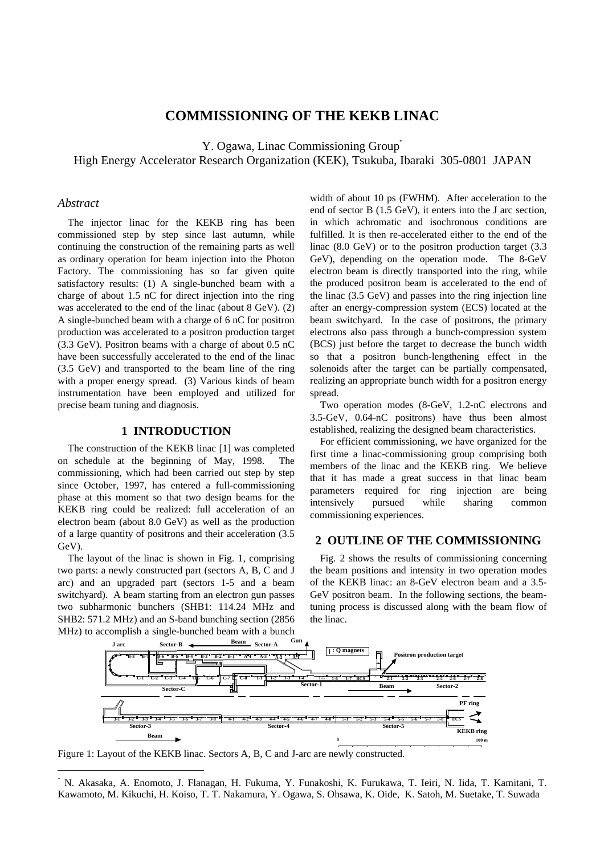# **COMMISSIONING OF THE KEKB LINAC**

Y. Ogawa, Linac Commissioning Group<sup>\*</sup> High Energy Accelerator Research Organization (KEK), Tsukuba, Ibaraki 305-0801 JAPAN

#### *Abstract*

-

The injector linac for the KEKB ring has been commissioned step by step since last autumn, while continuing the construction of the remaining parts as well as ordinary operation for beam injection into the Photon Factory. The commissioning has so far given quite satisfactory results: (1) A single-bunched beam with a charge of about 1.5 nC for direct injection into the ring was accelerated to the end of the linac (about 8 GeV). (2) A single-bunched beam with a charge of 6 nC for positron production was accelerated to a positron production target (3.3 GeV). Positron beams with a charge of about 0.5 nC have been successfully accelerated to the end of the linac (3.5 GeV) and transported to the beam line of the ring with a proper energy spread. (3) Various kinds of beam instrumentation have been employed and utilized for precise beam tuning and diagnosis.

## **1 INTRODUCTION**

The construction of the KEKB linac [1] was completed on schedule at the beginning of May, 1998. The commissioning, which had been carried out step by step since October, 1997, has entered a full-commissioning phase at this moment so that two design beams for the KEKB ring could be realized: full acceleration of an electron beam (about 8.0 GeV) as well as the production of a large quantity of positrons and their acceleration (3.5 GeV).

The layout of the linac is shown in Fig. 1, comprising two parts: a newly constructed part (sectors A, B, C and J arc) and an upgraded part (sectors 1-5 and a beam switchyard). A beam starting from an electron gun passes two subharmonic bunchers (SHB1: 114.24 MHz and SHB2: 571.2 MHz) and an S-band bunching section (2856 MHz) to accomplish a single-bunched beam with a bunch width of about 10 ps (FWHM). After acceleration to the end of sector B (1.5 GeV), it enters into the J arc section, in which achromatic and isochronous conditions are fulfilled. It is then re-accelerated either to the end of the linac (8.0 GeV) or to the positron production target (3.3 GeV), depending on the operation mode. The 8-GeV electron beam is directly transported into the ring, while the produced positron beam is accelerated to the end of the linac (3.5 GeV) and passes into the ring injection line after an energy-compression system (ECS) located at the beam switchyard. In the case of positrons, the primary electrons also pass through a bunch-compression system (BCS) just before the target to decrease the bunch width so that a positron bunch-lengthening effect in the solenoids after the target can be partially compensated, realizing an appropriate bunch width for a positron energy spread.

Two operation modes (8-GeV, 1.2-nC electrons and 3.5-GeV, 0.64-nC positrons) have thus been almost established, realizing the designed beam characteristics.

For efficient commissioning, we have organized for the first time a linac-commissioning group comprising both members of the linac and the KEKB ring. We believe that it has made a great success in that linac beam parameters required for ring injection are being intensively pursued while sharing common commissioning experiences.

## **2 OUTLINE OF THE COMMISSIONING**

Fig. 2 shows the results of commissioning concerning the beam positions and intensity in two operation modes of the KEKB linac: an 8-GeV electron beam and a 3.5- GeV positron beam. In the following sections, the beamtuning process is discussed along with the beam flow of the linac.



Figure 1: Layout of the KEKB linac. Sectors A, B, C and J-arc are newly constructed.

\* N. Akasaka, A. Enomoto, J. Flanagan, H. Fukuma, Y. Funakoshi, K. Furukawa, T. Ieiri, N. Iida, T. Kamitani, T. Kawamoto, M. Kikuchi, H. Koiso, T. T. Nakamura, Y. Ogawa, S. Ohsawa, K. Oide, K. Satoh, M. Suetake, T. Suwada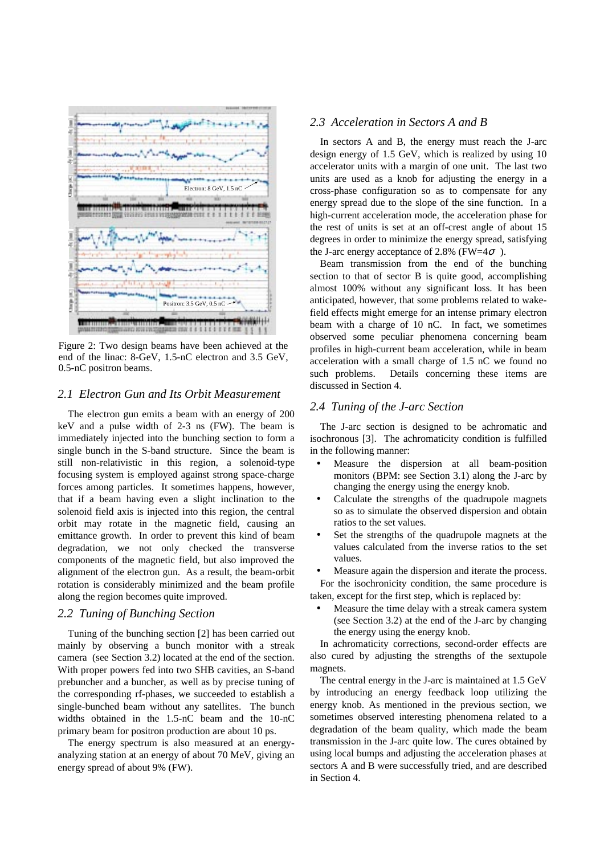

Figure 2: Two design beams have been achieved at the end of the linac: 8-GeV, 1.5-nC electron and 3.5 GeV, 0.5-nC positron beams.

## *2.1 Electron Gun and Its Orbit Measurement*

The electron gun emits a beam with an energy of 200 keV and a pulse width of 2-3 ns (FW). The beam is immediately injected into the bunching section to form a single bunch in the S-band structure. Since the beam is still non-relativistic in this region, a solenoid-type focusing system is employed against strong space-charge forces among particles. It sometimes happens, however, that if a beam having even a slight inclination to the solenoid field axis is injected into this region, the central orbit may rotate in the magnetic field, causing an emittance growth. In order to prevent this kind of beam degradation, we not only checked the transverse components of the magnetic field, but also improved the alignment of the electron gun. As a result, the beam-orbit rotation is considerably minimized and the beam profile along the region becomes quite improved.

#### *2.2 Tuning of Bunching Section*

Tuning of the bunching section [2] has been carried out mainly by observing a bunch monitor with a streak camera (see Section 3.2) located at the end of the section. With proper powers fed into two SHB cavities, an S-band prebuncher and a buncher, as well as by precise tuning of the corresponding rf-phases, we succeeded to establish a single-bunched beam without any satellites. The bunch widths obtained in the 1.5-nC beam and the 10-nC primary beam for positron production are about 10 ps.

The energy spectrum is also measured at an energyanalyzing station at an energy of about 70 MeV, giving an energy spread of about 9% (FW).

### *2.3 Acceleration in Sectors A and B*

In sectors A and B, the energy must reach the J-arc design energy of 1.5 GeV, which is realized by using 10 accelerator units with a margin of one unit. The last two units are used as a knob for adjusting the energy in a cross-phase configuration so as to compensate for any energy spread due to the slope of the sine function. In a high-current acceleration mode, the acceleration phase for the rest of units is set at an off-crest angle of about 15 degrees in order to minimize the energy spread, satisfying the J-arc energy acceptance of 2.8% (FW=4 $\sigma$ ).

Beam transmission from the end of the bunching section to that of sector B is quite good, accomplishing almost 100% without any significant loss. It has been anticipated, however, that some problems related to wakefield effects might emerge for an intense primary electron beam with a charge of 10 nC. In fact, we sometimes observed some peculiar phenomena concerning beam profiles in high-current beam acceleration, while in beam acceleration with a small charge of 1.5 nC we found no such problems. Details concerning these items are discussed in Section 4.

## *2.4 Tuning of the J-arc Section*

The J-arc section is designed to be achromatic and isochronous [3]. The achromaticity condition is fulfilled in the following manner:

- Measure the dispersion at all beam-position monitors (BPM: see Section 3.1) along the J-arc by changing the energy using the energy knob.
- Calculate the strengths of the quadrupole magnets so as to simulate the observed dispersion and obtain ratios to the set values.
- Set the strengths of the quadrupole magnets at the values calculated from the inverse ratios to the set values.
- Measure again the dispersion and iterate the process. For the isochronicity condition, the same procedure is

taken, except for the first step, which is replaced by:

• Measure the time delay with a streak camera system (see Section 3.2) at the end of the J-arc by changing the energy using the energy knob.

In achromaticity corrections, second-order effects are also cured by adjusting the strengths of the sextupole magnets.

The central energy in the J-arc is maintained at 1.5 GeV by introducing an energy feedback loop utilizing the energy knob. As mentioned in the previous section, we sometimes observed interesting phenomena related to a degradation of the beam quality, which made the beam transmission in the J-arc quite low. The cures obtained by using local bumps and adjusting the acceleration phases at sectors A and B were successfully tried, and are described in Section 4.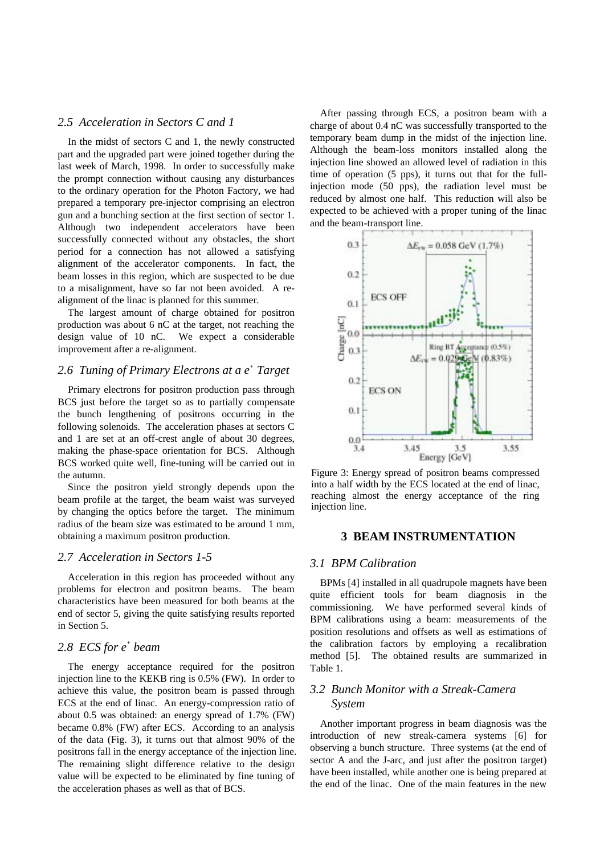## *2.5 Acceleration in Sectors C and 1*

In the midst of sectors C and 1, the newly constructed part and the upgraded part were joined together during the last week of March, 1998. In order to successfully make the prompt connection without causing any disturbances to the ordinary operation for the Photon Factory, we had prepared a temporary pre-injector comprising an electron gun and a bunching section at the first section of sector 1. Although two independent accelerators have been successfully connected without any obstacles, the short period for a connection has not allowed a satisfying alignment of the accelerator components. In fact, the beam losses in this region, which are suspected to be due to a misalignment, have so far not been avoided. A realignment of the linac is planned for this summer.

The largest amount of charge obtained for positron production was about 6 nC at the target, not reaching the design value of 10 nC. We expect a considerable improvement after a re-alignment.

# 2.6 Tuning of Primary Electrons at a  $e^+$  Target

Primary electrons for positron production pass through BCS just before the target so as to partially compensate the bunch lengthening of positrons occurring in the following solenoids. The acceleration phases at sectors C and 1 are set at an off-crest angle of about 30 degrees, making the phase-space orientation for BCS. Although BCS worked quite well, fine-tuning will be carried out in the autumn.

Since the positron yield strongly depends upon the beam profile at the target, the beam waist was surveyed by changing the optics before the target. The minimum radius of the beam size was estimated to be around 1 mm, obtaining a maximum positron production.

#### *2.7 Acceleration in Sectors 1-5*

Acceleration in this region has proceeded without any problems for electron and positron beams. The beam characteristics have been measured for both beams at the end of sector 5, giving the quite satisfying results reported in Section 5.

# 2.8 *ECS* for  $e^+$  beam

The energy acceptance required for the positron injection line to the KEKB ring is 0.5% (FW). In order to achieve this value, the positron beam is passed through ECS at the end of linac. An energy-compression ratio of about 0.5 was obtained: an energy spread of 1.7% (FW) became 0.8% (FW) after ECS. According to an analysis of the data (Fig. 3), it turns out that almost 90% of the positrons fall in the energy acceptance of the injection line. The remaining slight difference relative to the design value will be expected to be eliminated by fine tuning of the acceleration phases as well as that of BCS.

After passing through ECS, a positron beam with a charge of about 0.4 nC was successfully transported to the temporary beam dump in the midst of the injection line. Although the beam-loss monitors installed along the injection line showed an allowed level of radiation in this time of operation (5 pps), it turns out that for the fullinjection mode (50 pps), the radiation level must be reduced by almost one half. This reduction will also be expected to be achieved with a proper tuning of the linac and the beam-transport line.



Figure 3: Energy spread of positron beams compressed into a half width by the ECS located at the end of linac, reaching almost the energy acceptance of the ring injection line.

#### **3 BEAM INSTRUMENTATION**

### *3.1 BPM Calibration*

BPMs [4] installed in all quadrupole magnets have been quite efficient tools for beam diagnosis in the commissioning. We have performed several kinds of BPM calibrations using a beam: measurements of the position resolutions and offsets as well as estimations of the calibration factors by employing a recalibration method [5]. The obtained results are summarized in Table 1.

# *3.2 Bunch Monitor with a Streak-Camera System*

Another important progress in beam diagnosis was the introduction of new streak-camera systems [6] for observing a bunch structure. Three systems (at the end of sector A and the J-arc, and just after the positron target) have been installed, while another one is being prepared at the end of the linac. One of the main features in the new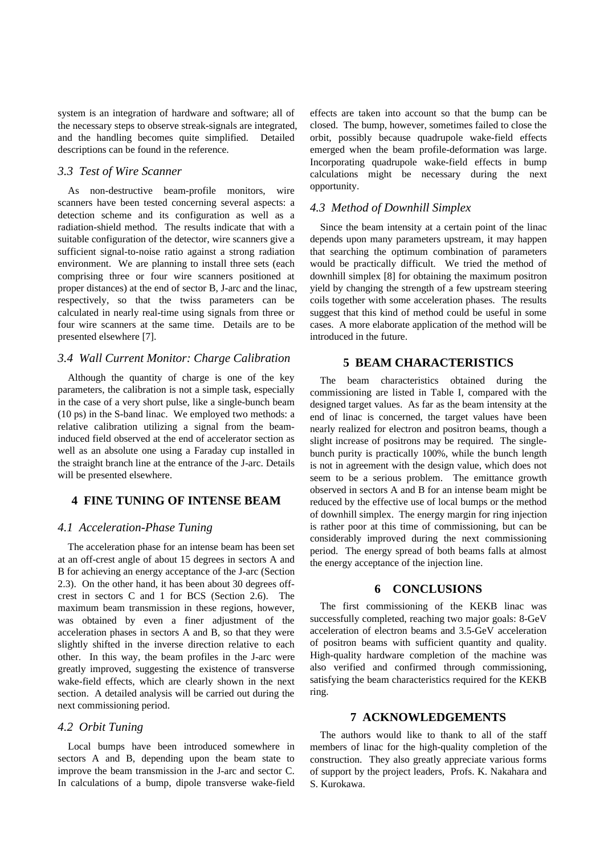system is an integration of hardware and software; all of the necessary steps to observe streak-signals are integrated, and the handling becomes quite simplified. Detailed descriptions can be found in the reference.

## *3.3 Test of Wire Scanner*

As non-destructive beam-profile monitors, wire scanners have been tested concerning several aspects: a detection scheme and its configuration as well as a radiation-shield method. The results indicate that with a suitable configuration of the detector, wire scanners give a sufficient signal-to-noise ratio against a strong radiation environment. We are planning to install three sets (each comprising three or four wire scanners positioned at proper distances) at the end of sector B, J-arc and the linac, respectively, so that the twiss parameters can be calculated in nearly real-time using signals from three or four wire scanners at the same time. Details are to be presented elsewhere [7].

#### *3.4 Wall Current Monitor: Charge Calibration*

Although the quantity of charge is one of the key parameters, the calibration is not a simple task, especially in the case of a very short pulse, like a single-bunch beam (10 ps) in the S-band linac. We employed two methods: a relative calibration utilizing a signal from the beaminduced field observed at the end of accelerator section as well as an absolute one using a Faraday cup installed in the straight branch line at the entrance of the J-arc. Details will be presented elsewhere.

#### **4 FINE TUNING OF INTENSE BEAM**

#### *4.1 Acceleration-Phase Tuning*

The acceleration phase for an intense beam has been set at an off-crest angle of about 15 degrees in sectors A and B for achieving an energy acceptance of the J-arc (Section 2.3). On the other hand, it has been about 30 degrees offcrest in sectors C and 1 for BCS (Section 2.6). The maximum beam transmission in these regions, however, was obtained by even a finer adjustment of the acceleration phases in sectors A and B, so that they were slightly shifted in the inverse direction relative to each other. In this way, the beam profiles in the J-arc were greatly improved, suggesting the existence of transverse wake-field effects, which are clearly shown in the next section. A detailed analysis will be carried out during the next commissioning period.

# *4.2 Orbit Tuning*

Local bumps have been introduced somewhere in sectors A and B, depending upon the beam state to improve the beam transmission in the J-arc and sector C. In calculations of a bump, dipole transverse wake-field effects are taken into account so that the bump can be closed. The bump, however, sometimes failed to close the orbit, possibly because quadrupole wake-field effects emerged when the beam profile-deformation was large. Incorporating quadrupole wake-field effects in bump calculations might be necessary during the next opportunity.

#### *4.3 Method of Downhill Simplex*

Since the beam intensity at a certain point of the linac depends upon many parameters upstream, it may happen that searching the optimum combination of parameters would be practically difficult. We tried the method of downhill simplex [8] for obtaining the maximum positron yield by changing the strength of a few upstream steering coils together with some acceleration phases. The results suggest that this kind of method could be useful in some cases. A more elaborate application of the method will be introduced in the future.

### **5 BEAM CHARACTERISTICS**

The beam characteristics obtained during the commissioning are listed in Table I, compared with the designed target values. As far as the beam intensity at the end of linac is concerned, the target values have been nearly realized for electron and positron beams, though a slight increase of positrons may be required. The singlebunch purity is practically 100%, while the bunch length is not in agreement with the design value, which does not seem to be a serious problem. The emittance growth observed in sectors A and B for an intense beam might be reduced by the effective use of local bumps or the method of downhill simplex. The energy margin for ring injection is rather poor at this time of commissioning, but can be considerably improved during the next commissioning period. The energy spread of both beams falls at almost the energy acceptance of the injection line.

### **6 CONCLUSIONS**

The first commissioning of the KEKB linac was successfully completed, reaching two major goals: 8-GeV acceleration of electron beams and 3.5-GeV acceleration of positron beams with sufficient quantity and quality. High-quality hardware completion of the machine was also verified and confirmed through commissioning, satisfying the beam characteristics required for the KEKB ring.

#### **7 ACKNOWLEDGEMENTS**

The authors would like to thank to all of the staff members of linac for the high-quality completion of the construction. They also greatly appreciate various forms of support by the project leaders, Profs. K. Nakahara and S. Kurokawa.